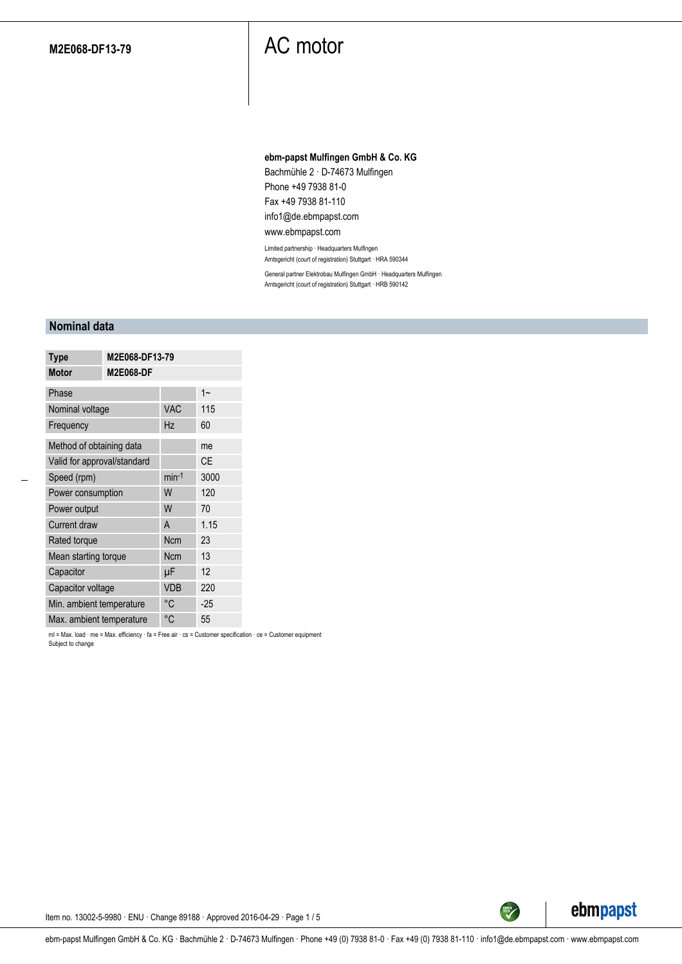#### **ebm-papst Mulfingen GmbH & Co. KG**

Bachmühle 2 · D-74673 Mulfingen Phone +49 7938 81-0 Fax +49 7938 81-110 info1@de.ebmpapst.com

#### www.ebmpapst.com

Limited partnership · Headquarters Mulfingen Amtsgericht (court of registration) Stuttgart · HRA 590344

General partner Elektrobau Mulfingen GmbH · Headquarters Mulfingen Amtsgericht (court of registration) Stuttgart · HRB 590142

### **Nominal data**

| <b>Type</b>                 | M2E068-DF13-79   |            |           |
|-----------------------------|------------------|------------|-----------|
| <b>Motor</b>                | <b>M2E068-DF</b> |            |           |
| Phase                       |                  |            | $1 -$     |
| Nominal voltage             |                  | <b>VAC</b> | 115       |
| Frequency                   |                  | Hz         | 60        |
| Method of obtaining data    |                  |            | me        |
| Valid for approval/standard |                  |            | <b>CE</b> |
| Speed (rpm)                 |                  | $min-1$    | 3000      |
| Power consumption           |                  | W          | 120       |
| Power output                |                  | W          | 70        |
| <b>Current draw</b>         |                  | A          | 1.15      |
| Rated torque                |                  | <b>Ncm</b> | 23        |
| Mean starting torque        |                  | <b>Ncm</b> | 13        |
| Capacitor                   |                  | μF         | 12        |
| Capacitor voltage           |                  | <b>VDB</b> | 220       |
| Min. ambient temperature    |                  | °C         | $-25$     |
| Max. ambient temperature    |                  | °C         | 55        |

ml = Max. load · me = Max. efficiency · fa = Free air · cs = Customer specification · ce = Customer equipment Subject to change



Item no. 13002-5-9980 · ENU · Change 89188 · Approved 2016-04-29 · Page 1 / 5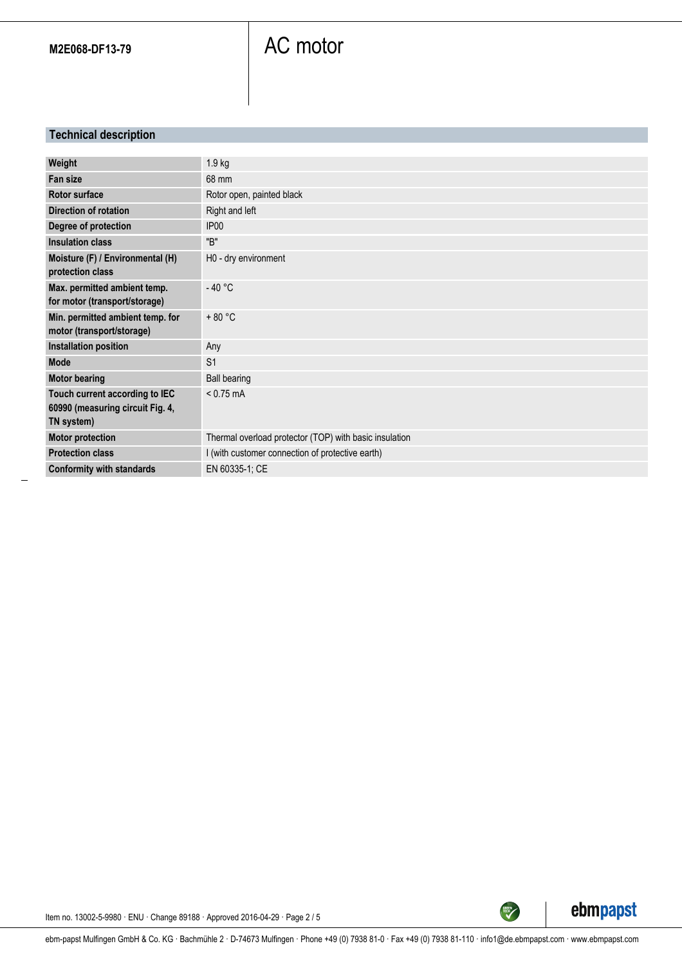### **Technical description**

| Weight                                                                           | 1.9 kg                                                 |
|----------------------------------------------------------------------------------|--------------------------------------------------------|
| <b>Fan size</b>                                                                  | 68 mm                                                  |
| <b>Rotor surface</b>                                                             | Rotor open, painted black                              |
| <b>Direction of rotation</b>                                                     | Right and left                                         |
| Degree of protection                                                             | IP <sub>00</sub>                                       |
| Insulation class                                                                 | "B"                                                    |
| Moisture (F) / Environmental (H)<br>protection class                             | H0 - dry environment                                   |
| Max. permitted ambient temp.<br>for motor (transport/storage)                    | $-40 °C$                                               |
| Min. permitted ambient temp. for<br>motor (transport/storage)                    | $+80 °C$                                               |
| <b>Installation position</b>                                                     | Any                                                    |
| <b>Mode</b>                                                                      | S <sub>1</sub>                                         |
| <b>Motor bearing</b>                                                             | <b>Ball bearing</b>                                    |
| Touch current according to IEC<br>60990 (measuring circuit Fig. 4,<br>TN system) | $< 0.75$ mA                                            |
| <b>Motor protection</b>                                                          | Thermal overload protector (TOP) with basic insulation |
| <b>Protection class</b>                                                          | I (with customer connection of protective earth)       |
| <b>Conformity with standards</b>                                                 | EN 60335-1; CE                                         |



TECH

Item no. 13002-5-9980 · ENU · Change 89188 · Approved 2016-04-29 · Page 2 / 5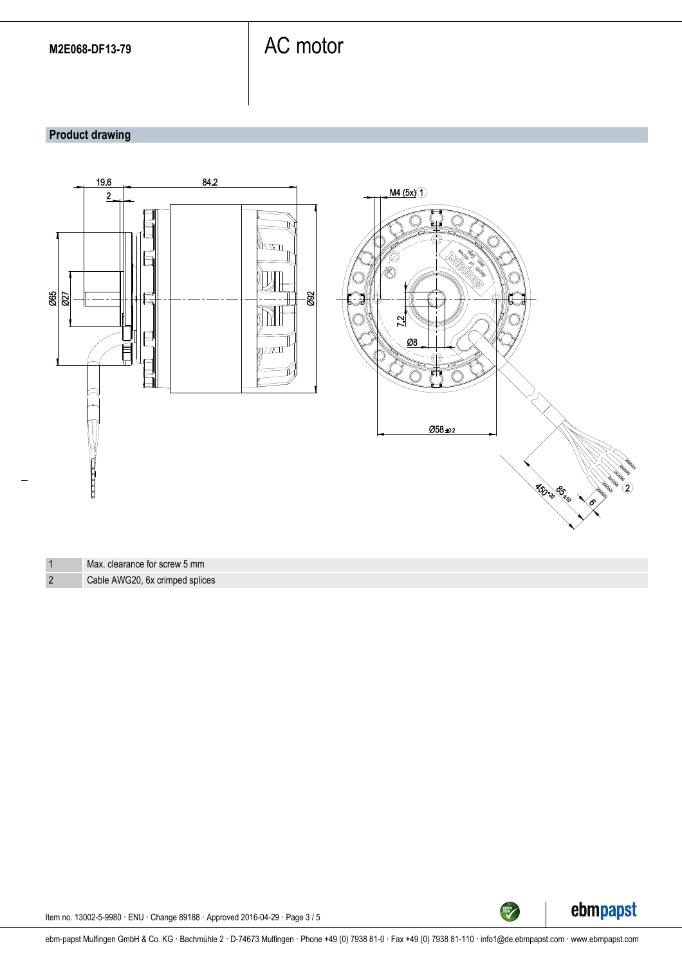### **Product drawing**



1 Max. clearance for screw 5 mm 2 Cable AWG20, 6x crimped splices



Item no. 13002-5-9980 · ENU · Change 89188 · Approved 2016-04-29 · Page 3 / 5

ebm-papst Mulfingen GmbH & Co. KG · Bachmühle 2 · D-74673 Mulfingen · Phone +49 (0) 7938 81-0 · Fax +49 (0) 7938 81-110 · info1@de.ebmpapst.com · www.ebmpapst.com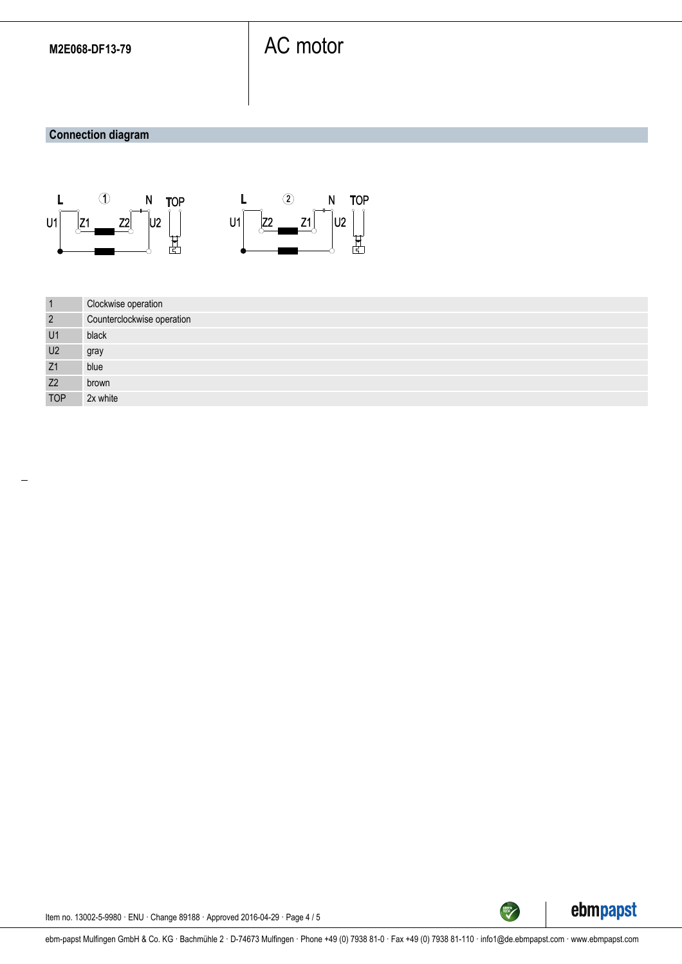### **Connection diagram**





| $\vert$ 1      | Clockwise operation        |
|----------------|----------------------------|
| $\overline{2}$ | Counterclockwise operation |
| U1             | black                      |
| U <sub>2</sub> | gray                       |
| Z1             | blue                       |
| Z <sub>2</sub> | brown                      |
| <b>TOP</b>     | 2x white                   |



Item no. 13002-5-9980 · ENU · Change 89188 · Approved 2016-04-29 · Page 4 / 5